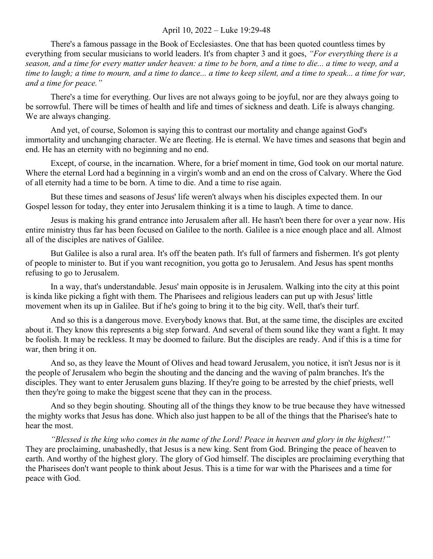## April 10, 2022 – Luke 19:29-48

There's a famous passage in the Book of Ecclesiastes. One that has been quoted countless times by everything from secular musicians to world leaders. It's from chapter 3 and it goes, *"For everything there is a season, and a time for every matter under heaven: a time to be born, and a time to die... a time to weep, and a time to laugh; a time to mourn, and a time to dance... a time to keep silent, and a time to speak... a time for war, and a time for peace."*

There's a time for everything. Our lives are not always going to be joyful, nor are they always going to be sorrowful. There will be times of health and life and times of sickness and death. Life is always changing. We are always changing.

And yet, of course, Solomon is saying this to contrast our mortality and change against God's immortality and unchanging character. We are fleeting. He is eternal. We have times and seasons that begin and end. He has an eternity with no beginning and no end.

Except, of course, in the incarnation. Where, for a brief moment in time, God took on our mortal nature. Where the eternal Lord had a beginning in a virgin's womb and an end on the cross of Calvary. Where the God of all eternity had a time to be born. A time to die. And a time to rise again.

But these times and seasons of Jesus' life weren't always when his disciples expected them. In our Gospel lesson for today, they enter into Jerusalem thinking it is a time to laugh. A time to dance.

Jesus is making his grand entrance into Jerusalem after all. He hasn't been there for over a year now. His entire ministry thus far has been focused on Galilee to the north. Galilee is a nice enough place and all. Almost all of the disciples are natives of Galilee.

But Galilee is also a rural area. It's off the beaten path. It's full of farmers and fishermen. It's got plenty of people to minister to. But if you want recognition, you gotta go to Jerusalem. And Jesus has spent months refusing to go to Jerusalem.

In a way, that's understandable. Jesus' main opposite is in Jerusalem. Walking into the city at this point is kinda like picking a fight with them. The Pharisees and religious leaders can put up with Jesus' little movement when its up in Galilee. But if he's going to bring it to the big city. Well, that's their turf.

And so this is a dangerous move. Everybody knows that. But, at the same time, the disciples are excited about it. They know this represents a big step forward. And several of them sound like they want a fight. It may be foolish. It may be reckless. It may be doomed to failure. But the disciples are ready. And if this is a time for war, then bring it on.

And so, as they leave the Mount of Olives and head toward Jerusalem, you notice, it isn't Jesus nor is it the people of Jerusalem who begin the shouting and the dancing and the waving of palm branches. It's the disciples. They want to enter Jerusalem guns blazing. If they're going to be arrested by the chief priests, well then they're going to make the biggest scene that they can in the process.

And so they begin shouting. Shouting all of the things they know to be true because they have witnessed the mighty works that Jesus has done. Which also just happen to be all of the things that the Pharisee's hate to hear the most.

*"Blessed is the king who comes in the name of the Lord! Peace in heaven and glory in the highest!"*  They are proclaiming, unabashedly, that Jesus is a new king. Sent from God. Bringing the peace of heaven to earth. And worthy of the highest glory. The glory of God himself. The disciples are proclaiming everything that the Pharisees don't want people to think about Jesus. This is a time for war with the Pharisees and a time for peace with God.